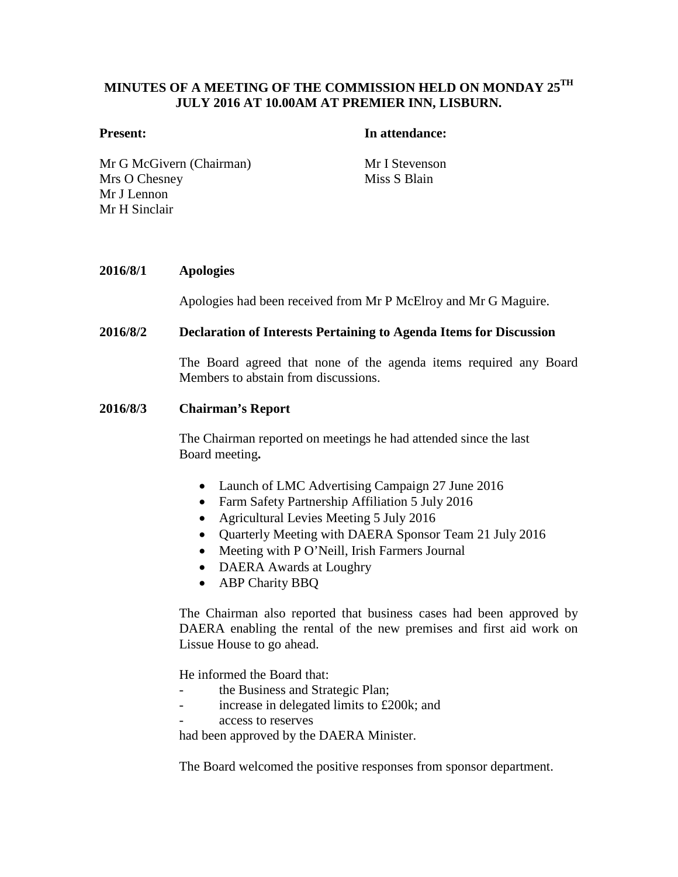# **MINUTES OF A MEETING OF THE COMMISSION HELD ON MONDAY 25TH JULY 2016 AT 10.00AM AT PREMIER INN, LISBURN.**

## **Present: In attendance:**

Mr G McGivern (Chairman) Mr I Stevenson Mrs O Chesney Mr J Lennon Mr H Sinclair

Miss S Blain

## **2016/8/1 Apologies**

Apologies had been received from Mr P McElroy and Mr G Maguire.

## **2016/8/2 Declaration of Interests Pertaining to Agenda Items for Discussion**

The Board agreed that none of the agenda items required any Board Members to abstain from discussions.

## **2016/8/3 Chairman's Report**

The Chairman reported on meetings he had attended since the last Board meeting**.**

- Launch of LMC Advertising Campaign 27 June 2016
- Farm Safety Partnership Affiliation 5 July 2016
- Agricultural Levies Meeting 5 July 2016
- Quarterly Meeting with DAERA Sponsor Team 21 July 2016
- Meeting with P O'Neill, Irish Farmers Journal
- DAERA Awards at Loughry
- ABP Charity BBQ

The Chairman also reported that business cases had been approved by DAERA enabling the rental of the new premises and first aid work on Lissue House to go ahead.

He informed the Board that:

- the Business and Strategic Plan;
- increase in delegated limits to £200k; and
- access to reserves

had been approved by the DAERA Minister.

The Board welcomed the positive responses from sponsor department.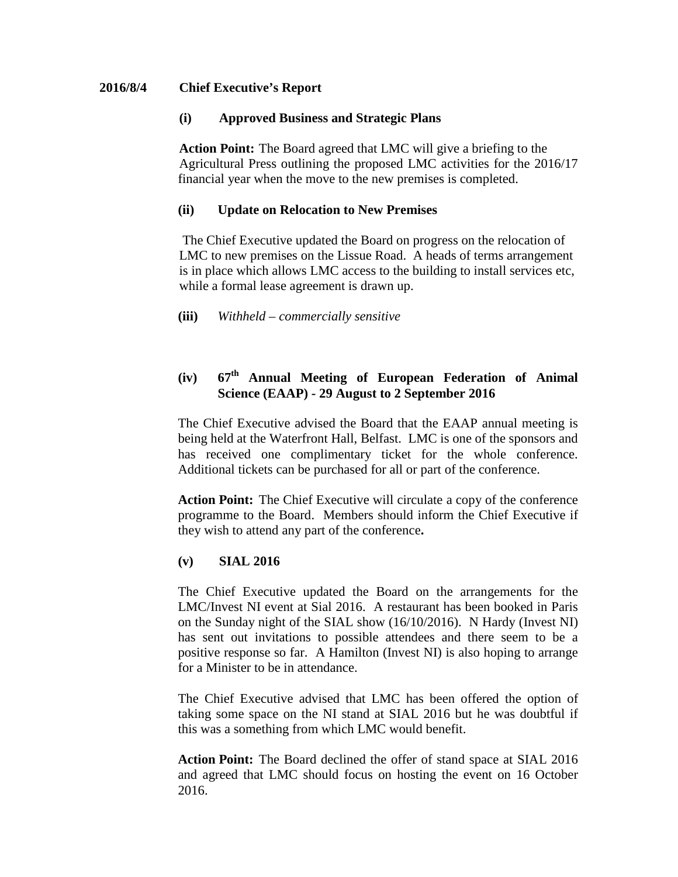# **2016/8/4 Chief Executive's Report**

# **(i) Approved Business and Strategic Plans**

**Action Point:** The Board agreed that LMC will give a briefing to the Agricultural Press outlining the proposed LMC activities for the 2016/17 financial year when the move to the new premises is completed.

# **(ii) Update on Relocation to New Premises**

The Chief Executive updated the Board on progress on the relocation of LMC to new premises on the Lissue Road. A heads of terms arrangement is in place which allows LMC access to the building to install services etc, while a formal lease agreement is drawn up.

**(iii)** *Withheld – commercially sensitive*

# **(iv) 67th Annual Meeting of European Federation of Animal Science (EAAP) - 29 August to 2 September 2016**

The Chief Executive advised the Board that the EAAP annual meeting is being held at the Waterfront Hall, Belfast. LMC is one of the sponsors and has received one complimentary ticket for the whole conference. Additional tickets can be purchased for all or part of the conference.

**Action Point:** The Chief Executive will circulate a copy of the conference programme to the Board. Members should inform the Chief Executive if they wish to attend any part of the conference**.**

# **(v) SIAL 2016**

The Chief Executive updated the Board on the arrangements for the LMC/Invest NI event at Sial 2016. A restaurant has been booked in Paris on the Sunday night of the SIAL show (16/10/2016). N Hardy (Invest NI) has sent out invitations to possible attendees and there seem to be a positive response so far. A Hamilton (Invest NI) is also hoping to arrange for a Minister to be in attendance.

The Chief Executive advised that LMC has been offered the option of taking some space on the NI stand at SIAL 2016 but he was doubtful if this was a something from which LMC would benefit.

**Action Point:** The Board declined the offer of stand space at SIAL 2016 and agreed that LMC should focus on hosting the event on 16 October 2016.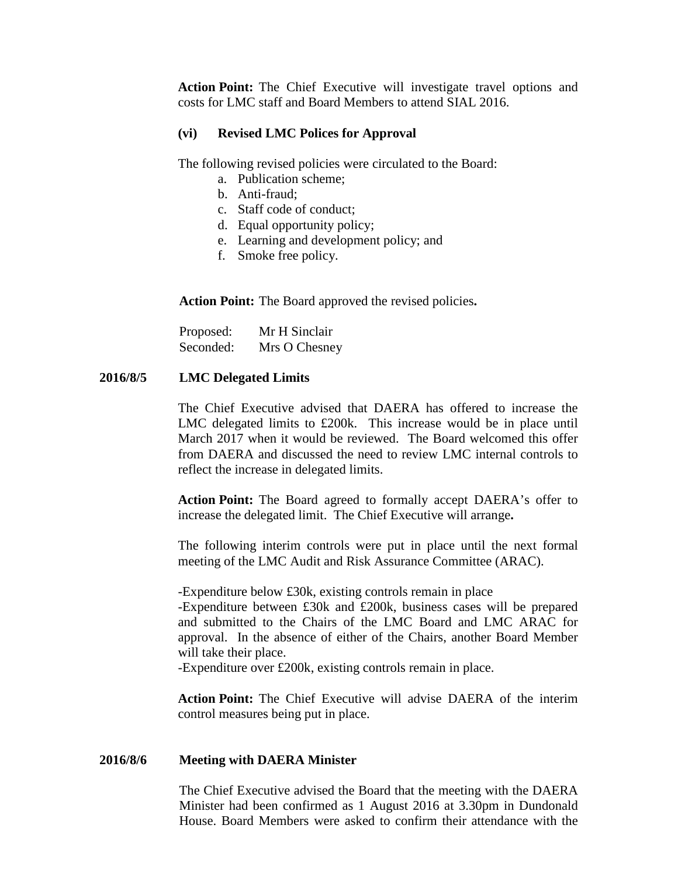**Action Point:** The Chief Executive will investigate travel options and costs for LMC staff and Board Members to attend SIAL 2016.

# **(vi) Revised LMC Polices for Approval**

The following revised policies were circulated to the Board:

- a. Publication scheme;
- b. Anti-fraud;
- c. Staff code of conduct;
- d. Equal opportunity policy;
- e. Learning and development policy; and
- f. Smoke free policy.

**Action Point:** The Board approved the revised policies**.**

| Proposed: | Mr H Sinclair |
|-----------|---------------|
| Seconded: | Mrs O Chesney |

# **2016/8/5 LMC Delegated Limits**

The Chief Executive advised that DAERA has offered to increase the LMC delegated limits to £200k. This increase would be in place until March 2017 when it would be reviewed. The Board welcomed this offer from DAERA and discussed the need to review LMC internal controls to reflect the increase in delegated limits.

**Action Point:** The Board agreed to formally accept DAERA's offer to increase the delegated limit. The Chief Executive will arrange**.** 

The following interim controls were put in place until the next formal meeting of the LMC Audit and Risk Assurance Committee (ARAC).

-Expenditure below £30k, existing controls remain in place -Expenditure between £30k and £200k, business cases will be prepared and submitted to the Chairs of the LMC Board and LMC ARAC for approval. In the absence of either of the Chairs, another Board Member will take their place.

-Expenditure over £200k, existing controls remain in place.

**Action Point:** The Chief Executive will advise DAERA of the interim control measures being put in place.

# **2016/8/6 Meeting with DAERA Minister**

The Chief Executive advised the Board that the meeting with the DAERA Minister had been confirmed as 1 August 2016 at 3.30pm in Dundonald House. Board Members were asked to confirm their attendance with the